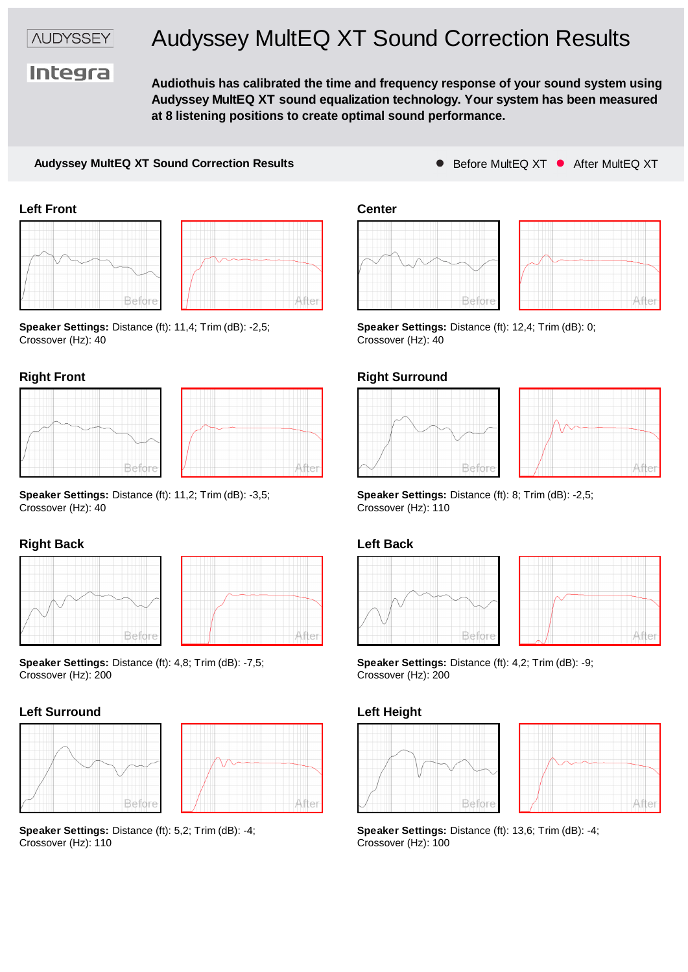*NUDYSSEY* 

# Audyssey MultEQ XT Sound Correction Results

**Integra** 

**Audiothuis has calibrated the time and frequency response of your sound system using Audyssey MultEQ XT sound equalization technology. Your system has been measured at 8 listening positions to create optimal sound performance.**

### **Audyssey MultEQ XT Sound Correction Results** Before MultEQ XT C After MultEQ XT





**Speaker Settings:** Distance (ft): 11,4; Trim (dB): -2,5; Crossover (Hz): 40



|  | After |
|--|-------|

**Speaker Settings:** Distance (ft): 11,2; Trim (dB): -3,5; Crossover (Hz): 40

## **Right Back**





**Speaker Settings:** Distance (ft): 4,8; Trim (dB): -7,5; **Speaker Settings:** I Crossover (Hz): 200<br>Crossover (Hz): 200 Crossover (Hz): 200









**Speaker Settings:** Distance (ft): 12,4; Trim (dB): 0; Crossover (Hz): 40

### **Right Front Right Surround**





**Speaker Settings:** Distance (ft): 8; Trim (dB): -2,5; Crossover (Hz): 110

## **Left Back**





**Speaker Settings:** Distance (ft): 4,2; Trim (dB): -9; Crossover (Hz): 200

## **Left Height**





**Speaker Settings:** Distance (ft): 5,2; Trim (dB): -4; **Speaker Settings:** Distance (ft): 13,6; Trim (dB): -4; Crossover (Hz): 110 Crossover (Hz): 100